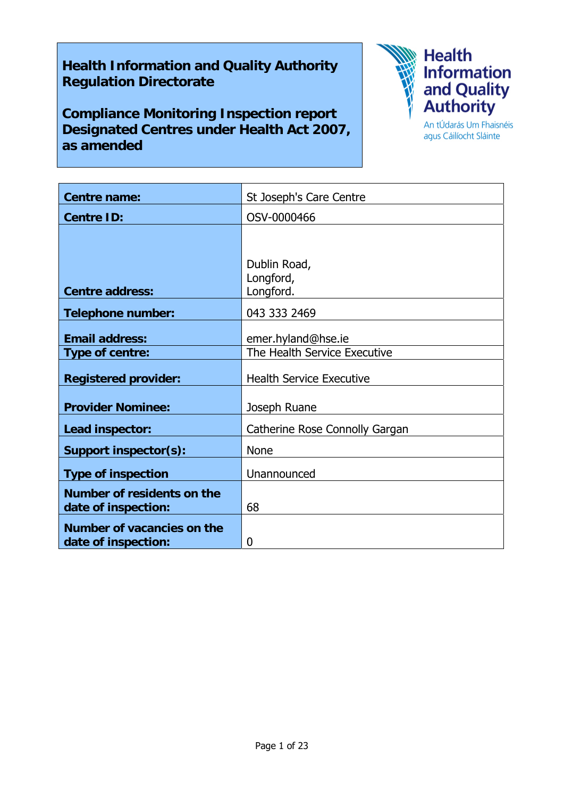## **Health Information and Quality Authority Regulation Directorate**

**Compliance Monitoring Inspection report Designated Centres under Health Act 2007, as amended** 



agus Cáilíocht Sláinte

| <b>Centre name:</b>                               | St Joseph's Care Centre                |
|---------------------------------------------------|----------------------------------------|
| <b>Centre ID:</b>                                 | OSV-0000466                            |
|                                                   |                                        |
| <b>Centre address:</b>                            | Dublin Road,<br>Longford,<br>Longford. |
| <b>Telephone number:</b>                          | 043 333 2469                           |
| <b>Email address:</b>                             | emer.hyland@hse.ie                     |
| <b>Type of centre:</b>                            | The Health Service Executive           |
| <b>Registered provider:</b>                       | <b>Health Service Executive</b>        |
| <b>Provider Nominee:</b>                          | Joseph Ruane                           |
| Lead inspector:                                   | Catherine Rose Connolly Gargan         |
| Support inspector(s):                             | <b>None</b>                            |
| <b>Type of inspection</b>                         | Unannounced                            |
| Number of residents on the<br>date of inspection: | 68                                     |
| Number of vacancies on the<br>date of inspection: | 0                                      |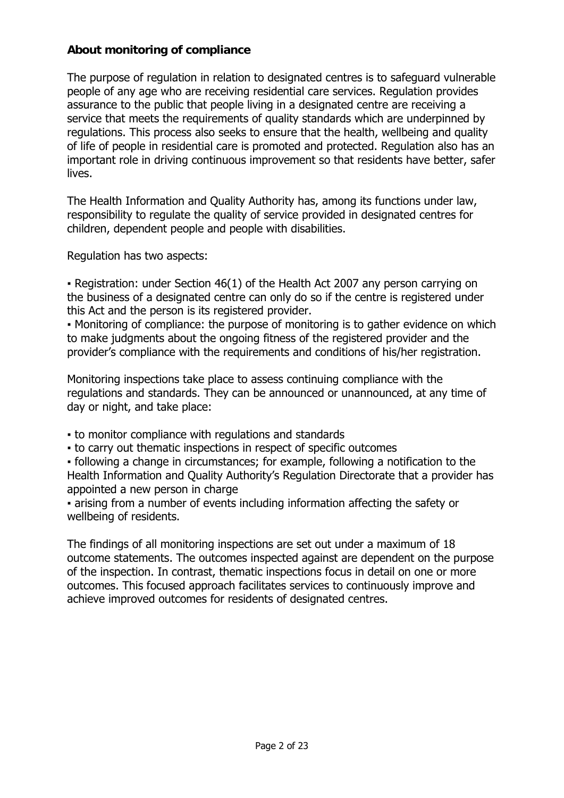### **About monitoring of compliance**

The purpose of regulation in relation to designated centres is to safeguard vulnerable people of any age who are receiving residential care services. Regulation provides assurance to the public that people living in a designated centre are receiving a service that meets the requirements of quality standards which are underpinned by regulations. This process also seeks to ensure that the health, wellbeing and quality of life of people in residential care is promoted and protected. Regulation also has an important role in driving continuous improvement so that residents have better, safer lives.

The Health Information and Quality Authority has, among its functions under law, responsibility to regulate the quality of service provided in designated centres for children, dependent people and people with disabilities.

Regulation has two aspects:

• Registration: under Section 46(1) of the Health Act 2007 any person carrying on the business of a designated centre can only do so if the centre is registered under this Act and the person is its registered provider.

▪ Monitoring of compliance: the purpose of monitoring is to gather evidence on which to make judgments about the ongoing fitness of the registered provider and the provider's compliance with the requirements and conditions of his/her registration.

Monitoring inspections take place to assess continuing compliance with the regulations and standards. They can be announced or unannounced, at any time of day or night, and take place:

- to monitor compliance with regulations and standards
- to carry out thematic inspections in respect of specific outcomes

▪ following a change in circumstances; for example, following a notification to the Health Information and Quality Authority's Regulation Directorate that a provider has appointed a new person in charge

▪ arising from a number of events including information affecting the safety or wellbeing of residents.

The findings of all monitoring inspections are set out under a maximum of 18 outcome statements. The outcomes inspected against are dependent on the purpose of the inspection. In contrast, thematic inspections focus in detail on one or more outcomes. This focused approach facilitates services to continuously improve and achieve improved outcomes for residents of designated centres.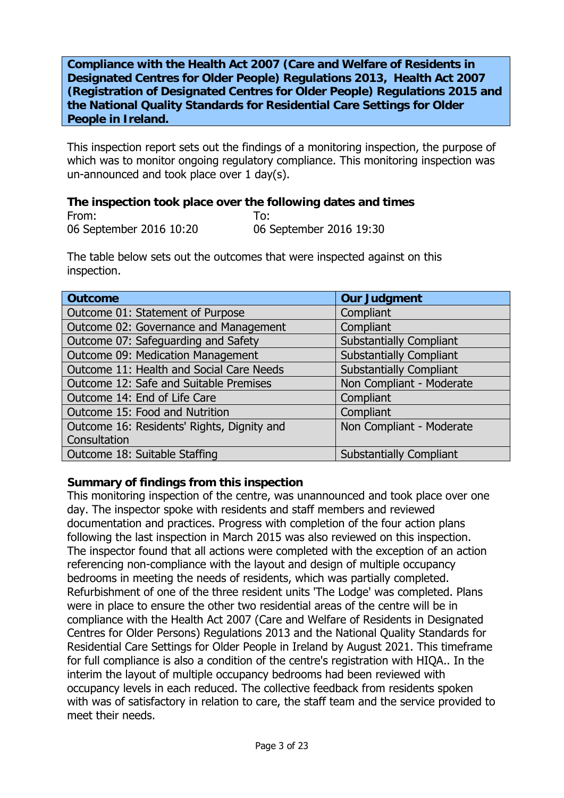**Compliance with the Health Act 2007 (Care and Welfare of Residents in Designated Centres for Older People) Regulations 2013, Health Act 2007 (Registration of Designated Centres for Older People) Regulations 2015 and the National Quality Standards for Residential Care Settings for Older People in Ireland.**

This inspection report sets out the findings of a monitoring inspection, the purpose of which was to monitor ongoing regulatory compliance. This monitoring inspection was un-announced and took place over 1 day(s).

#### **The inspection took place over the following dates and times**  From: To:

06 September 2016 10:20 06 September 2016 19:30

The table below sets out the outcomes that were inspected against on this inspection.

| <b>Outcome</b>                             | <b>Our Judgment</b>            |
|--------------------------------------------|--------------------------------|
| Outcome 01: Statement of Purpose           | Compliant                      |
| Outcome 02: Governance and Management      | Compliant                      |
| Outcome 07: Safeguarding and Safety        | <b>Substantially Compliant</b> |
| Outcome 09: Medication Management          | <b>Substantially Compliant</b> |
| Outcome 11: Health and Social Care Needs   | <b>Substantially Compliant</b> |
| Outcome 12: Safe and Suitable Premises     | Non Compliant - Moderate       |
| Outcome 14: End of Life Care               | Compliant                      |
| Outcome 15: Food and Nutrition             | Compliant                      |
| Outcome 16: Residents' Rights, Dignity and | Non Compliant - Moderate       |
| Consultation                               |                                |
| Outcome 18: Suitable Staffing              | <b>Substantially Compliant</b> |

### **Summary of findings from this inspection**

This monitoring inspection of the centre, was unannounced and took place over one day. The inspector spoke with residents and staff members and reviewed documentation and practices. Progress with completion of the four action plans following the last inspection in March 2015 was also reviewed on this inspection. The inspector found that all actions were completed with the exception of an action referencing non-compliance with the layout and design of multiple occupancy bedrooms in meeting the needs of residents, which was partially completed. Refurbishment of one of the three resident units 'The Lodge' was completed. Plans were in place to ensure the other two residential areas of the centre will be in compliance with the Health Act 2007 (Care and Welfare of Residents in Designated Centres for Older Persons) Regulations 2013 and the National Quality Standards for Residential Care Settings for Older People in Ireland by August 2021. This timeframe for full compliance is also a condition of the centre's registration with HIQA.. In the interim the layout of multiple occupancy bedrooms had been reviewed with occupancy levels in each reduced. The collective feedback from residents spoken with was of satisfactory in relation to care, the staff team and the service provided to meet their needs.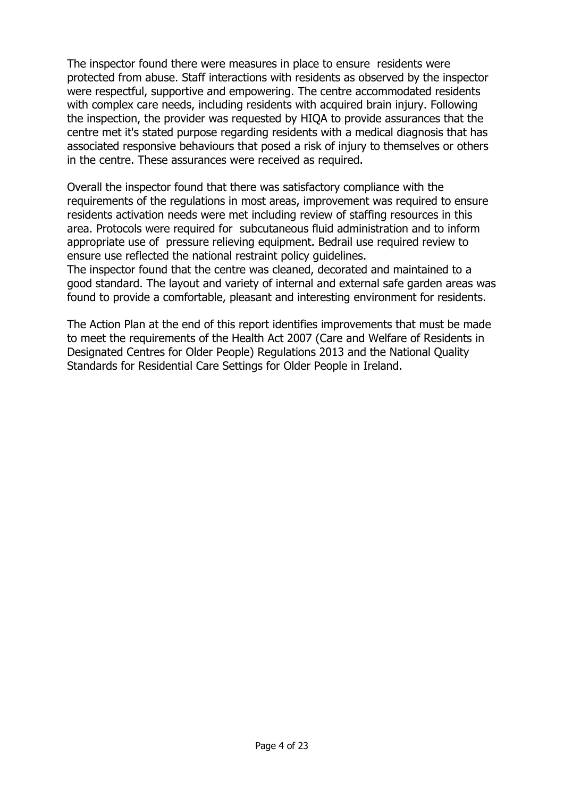The inspector found there were measures in place to ensure residents were protected from abuse. Staff interactions with residents as observed by the inspector were respectful, supportive and empowering. The centre accommodated residents with complex care needs, including residents with acquired brain injury. Following the inspection, the provider was requested by HIQA to provide assurances that the centre met it's stated purpose regarding residents with a medical diagnosis that has associated responsive behaviours that posed a risk of injury to themselves or others in the centre. These assurances were received as required.

Overall the inspector found that there was satisfactory compliance with the requirements of the regulations in most areas, improvement was required to ensure residents activation needs were met including review of staffing resources in this area. Protocols were required for subcutaneous fluid administration and to inform appropriate use of pressure relieving equipment. Bedrail use required review to ensure use reflected the national restraint policy guidelines.

The inspector found that the centre was cleaned, decorated and maintained to a good standard. The layout and variety of internal and external safe garden areas was found to provide a comfortable, pleasant and interesting environment for residents.

The Action Plan at the end of this report identifies improvements that must be made to meet the requirements of the Health Act 2007 (Care and Welfare of Residents in Designated Centres for Older People) Regulations 2013 and the National Quality Standards for Residential Care Settings for Older People in Ireland.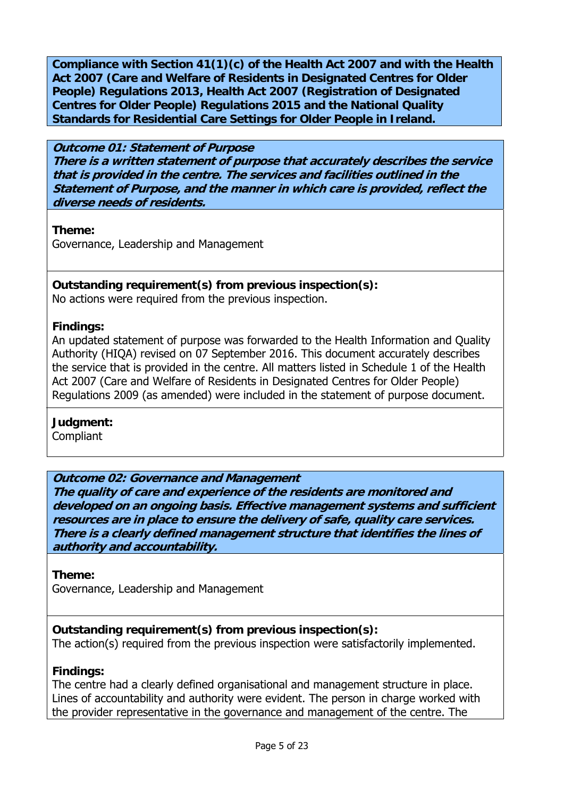**Compliance with Section 41(1)(c) of the Health Act 2007 and with the Health Act 2007 (Care and Welfare of Residents in Designated Centres for Older People) Regulations 2013, Health Act 2007 (Registration of Designated Centres for Older People) Regulations 2015 and the National Quality Standards for Residential Care Settings for Older People in Ireland.** 

### **Outcome 01: Statement of Purpose There is a written statement of purpose that accurately describes the service that is provided in the centre. The services and facilities outlined in the Statement of Purpose, and the manner in which care is provided, reflect the diverse needs of residents.**

**Theme:** 

Governance, Leadership and Management

## **Outstanding requirement(s) from previous inspection(s):**

No actions were required from the previous inspection.

## **Findings:**

An updated statement of purpose was forwarded to the Health Information and Quality Authority (HIQA) revised on 07 September 2016. This document accurately describes the service that is provided in the centre. All matters listed in Schedule 1 of the Health Act 2007 (Care and Welfare of Residents in Designated Centres for Older People) Regulations 2009 (as amended) were included in the statement of purpose document.

**Judgment:** 

**Compliant** 

## **Outcome 02: Governance and Management**

**The quality of care and experience of the residents are monitored and developed on an ongoing basis. Effective management systems and sufficient resources are in place to ensure the delivery of safe, quality care services. There is a clearly defined management structure that identifies the lines of authority and accountability.**

## **Theme:**

Governance, Leadership and Management

## **Outstanding requirement(s) from previous inspection(s):**

The action(s) required from the previous inspection were satisfactorily implemented.

## **Findings:**

The centre had a clearly defined organisational and management structure in place. Lines of accountability and authority were evident. The person in charge worked with the provider representative in the governance and management of the centre. The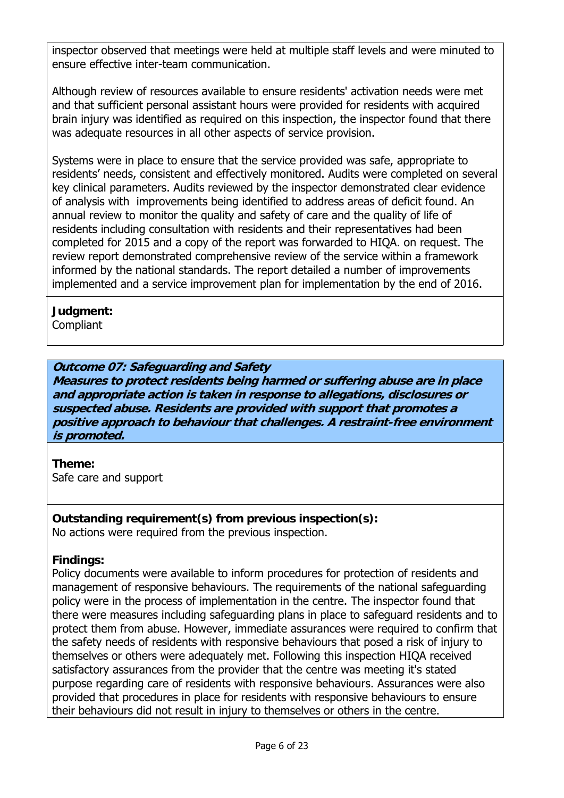inspector observed that meetings were held at multiple staff levels and were minuted to ensure effective inter-team communication.

Although review of resources available to ensure residents' activation needs were met and that sufficient personal assistant hours were provided for residents with acquired brain injury was identified as required on this inspection, the inspector found that there was adequate resources in all other aspects of service provision.

Systems were in place to ensure that the service provided was safe, appropriate to residents' needs, consistent and effectively monitored. Audits were completed on several key clinical parameters. Audits reviewed by the inspector demonstrated clear evidence of analysis with improvements being identified to address areas of deficit found. An annual review to monitor the quality and safety of care and the quality of life of residents including consultation with residents and their representatives had been completed for 2015 and a copy of the report was forwarded to HIQA. on request. The review report demonstrated comprehensive review of the service within a framework informed by the national standards. The report detailed a number of improvements implemented and a service improvement plan for implementation by the end of 2016.

## **Judgment:**

**Compliant** 

## **Outcome 07: Safeguarding and Safety**

**Measures to protect residents being harmed or suffering abuse are in place and appropriate action is taken in response to allegations, disclosures or suspected abuse. Residents are provided with support that promotes a positive approach to behaviour that challenges. A restraint-free environment is promoted.**

**Theme:**  Safe care and support

### **Outstanding requirement(s) from previous inspection(s):**  No actions were required from the previous inspection.

### **Findings:**

Policy documents were available to inform procedures for protection of residents and management of responsive behaviours. The requirements of the national safeguarding policy were in the process of implementation in the centre. The inspector found that there were measures including safeguarding plans in place to safeguard residents and to protect them from abuse. However, immediate assurances were required to confirm that the safety needs of residents with responsive behaviours that posed a risk of injury to themselves or others were adequately met. Following this inspection HIQA received satisfactory assurances from the provider that the centre was meeting it's stated purpose regarding care of residents with responsive behaviours. Assurances were also provided that procedures in place for residents with responsive behaviours to ensure their behaviours did not result in injury to themselves or others in the centre.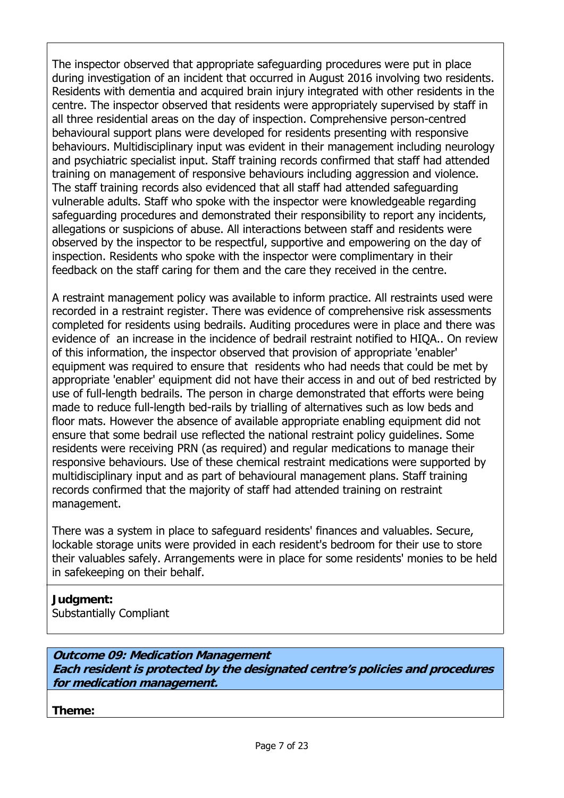The inspector observed that appropriate safeguarding procedures were put in place during investigation of an incident that occurred in August 2016 involving two residents. Residents with dementia and acquired brain injury integrated with other residents in the centre. The inspector observed that residents were appropriately supervised by staff in all three residential areas on the day of inspection. Comprehensive person-centred behavioural support plans were developed for residents presenting with responsive behaviours. Multidisciplinary input was evident in their management including neurology and psychiatric specialist input. Staff training records confirmed that staff had attended training on management of responsive behaviours including aggression and violence. The staff training records also evidenced that all staff had attended safeguarding vulnerable adults. Staff who spoke with the inspector were knowledgeable regarding safeguarding procedures and demonstrated their responsibility to report any incidents, allegations or suspicions of abuse. All interactions between staff and residents were observed by the inspector to be respectful, supportive and empowering on the day of inspection. Residents who spoke with the inspector were complimentary in their feedback on the staff caring for them and the care they received in the centre.

A restraint management policy was available to inform practice. All restraints used were recorded in a restraint register. There was evidence of comprehensive risk assessments completed for residents using bedrails. Auditing procedures were in place and there was evidence of an increase in the incidence of bedrail restraint notified to HIQA.. On review of this information, the inspector observed that provision of appropriate 'enabler' equipment was required to ensure that residents who had needs that could be met by appropriate 'enabler' equipment did not have their access in and out of bed restricted by use of full-length bedrails. The person in charge demonstrated that efforts were being made to reduce full-length bed-rails by trialling of alternatives such as low beds and floor mats. However the absence of available appropriate enabling equipment did not ensure that some bedrail use reflected the national restraint policy guidelines. Some residents were receiving PRN (as required) and regular medications to manage their responsive behaviours. Use of these chemical restraint medications were supported by multidisciplinary input and as part of behavioural management plans. Staff training records confirmed that the majority of staff had attended training on restraint management.

There was a system in place to safeguard residents' finances and valuables. Secure, lockable storage units were provided in each resident's bedroom for their use to store their valuables safely. Arrangements were in place for some residents' monies to be held in safekeeping on their behalf.

# **Judgment:**

Substantially Compliant

**Outcome 09: Medication Management Each resident is protected by the designated centre's policies and procedures for medication management.**

**Theme:**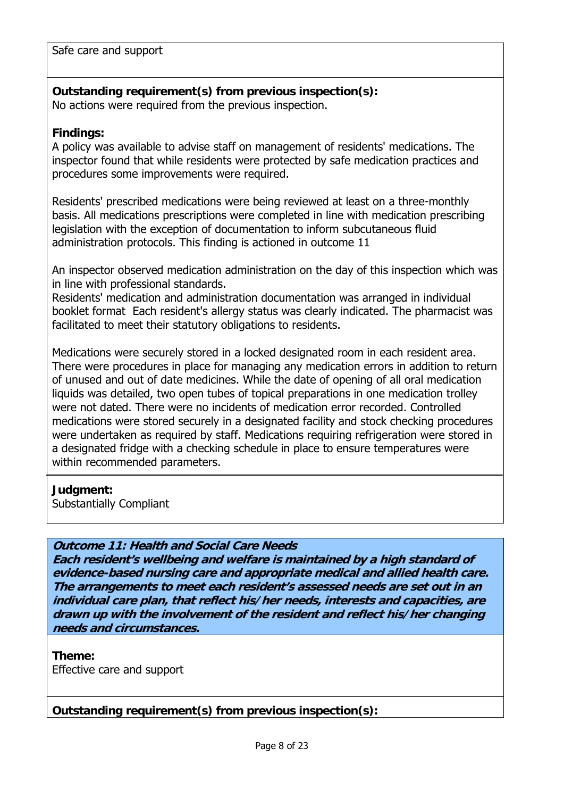Safe care and support

**Outstanding requirement(s) from previous inspection(s):**  No actions were required from the previous inspection.

### **Findings:**

A policy was available to advise staff on management of residents' medications. The inspector found that while residents were protected by safe medication practices and procedures some improvements were required.

Residents' prescribed medications were being reviewed at least on a three-monthly basis. All medications prescriptions were completed in line with medication prescribing legislation with the exception of documentation to inform subcutaneous fluid administration protocols. This finding is actioned in outcome 11

An inspector observed medication administration on the day of this inspection which was in line with professional standards.

Residents' medication and administration documentation was arranged in individual booklet format Each resident's allergy status was clearly indicated. The pharmacist was facilitated to meet their statutory obligations to residents.

Medications were securely stored in a locked designated room in each resident area. There were procedures in place for managing any medication errors in addition to return of unused and out of date medicines. While the date of opening of all oral medication liquids was detailed, two open tubes of topical preparations in one medication trolley were not dated. There were no incidents of medication error recorded. Controlled medications were stored securely in a designated facility and stock checking procedures were undertaken as required by staff. Medications requiring refrigeration were stored in a designated fridge with a checking schedule in place to ensure temperatures were within recommended parameters.

### **Judgment:**

Substantially Compliant

**Outcome 11: Health and Social Care Needs**

**Each resident's wellbeing and welfare is maintained by a high standard of evidence-based nursing care and appropriate medical and allied health care. The arrangements to meet each resident's assessed needs are set out in an individual care plan, that reflect his/her needs, interests and capacities, are drawn up with the involvement of the resident and reflect his/her changing needs and circumstances.**

**Theme:**  Effective care and support

**Outstanding requirement(s) from previous inspection(s):**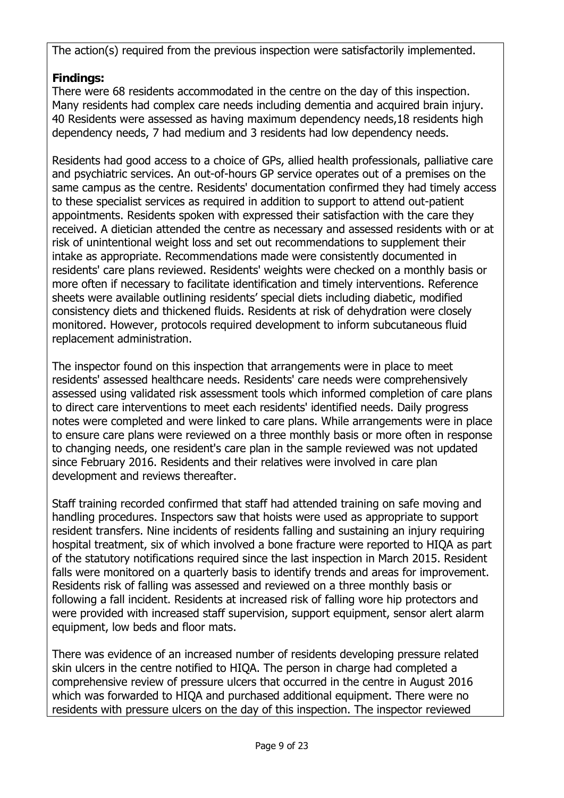The action(s) required from the previous inspection were satisfactorily implemented.

## **Findings:**

There were 68 residents accommodated in the centre on the day of this inspection. Many residents had complex care needs including dementia and acquired brain injury. 40 Residents were assessed as having maximum dependency needs,18 residents high dependency needs, 7 had medium and 3 residents had low dependency needs.

Residents had good access to a choice of GPs, allied health professionals, palliative care and psychiatric services. An out-of-hours GP service operates out of a premises on the same campus as the centre. Residents' documentation confirmed they had timely access to these specialist services as required in addition to support to attend out-patient appointments. Residents spoken with expressed their satisfaction with the care they received. A dietician attended the centre as necessary and assessed residents with or at risk of unintentional weight loss and set out recommendations to supplement their intake as appropriate. Recommendations made were consistently documented in residents' care plans reviewed. Residents' weights were checked on a monthly basis or more often if necessary to facilitate identification and timely interventions. Reference sheets were available outlining residents' special diets including diabetic, modified consistency diets and thickened fluids. Residents at risk of dehydration were closely monitored. However, protocols required development to inform subcutaneous fluid replacement administration.

The inspector found on this inspection that arrangements were in place to meet residents' assessed healthcare needs. Residents' care needs were comprehensively assessed using validated risk assessment tools which informed completion of care plans to direct care interventions to meet each residents' identified needs. Daily progress notes were completed and were linked to care plans. While arrangements were in place to ensure care plans were reviewed on a three monthly basis or more often in response to changing needs, one resident's care plan in the sample reviewed was not updated since February 2016. Residents and their relatives were involved in care plan development and reviews thereafter.

Staff training recorded confirmed that staff had attended training on safe moving and handling procedures. Inspectors saw that hoists were used as appropriate to support resident transfers. Nine incidents of residents falling and sustaining an injury requiring hospital treatment, six of which involved a bone fracture were reported to HIQA as part of the statutory notifications required since the last inspection in March 2015. Resident falls were monitored on a quarterly basis to identify trends and areas for improvement. Residents risk of falling was assessed and reviewed on a three monthly basis or following a fall incident. Residents at increased risk of falling wore hip protectors and were provided with increased staff supervision, support equipment, sensor alert alarm equipment, low beds and floor mats.

There was evidence of an increased number of residents developing pressure related skin ulcers in the centre notified to HIQA. The person in charge had completed a comprehensive review of pressure ulcers that occurred in the centre in August 2016 which was forwarded to HIQA and purchased additional equipment. There were no residents with pressure ulcers on the day of this inspection. The inspector reviewed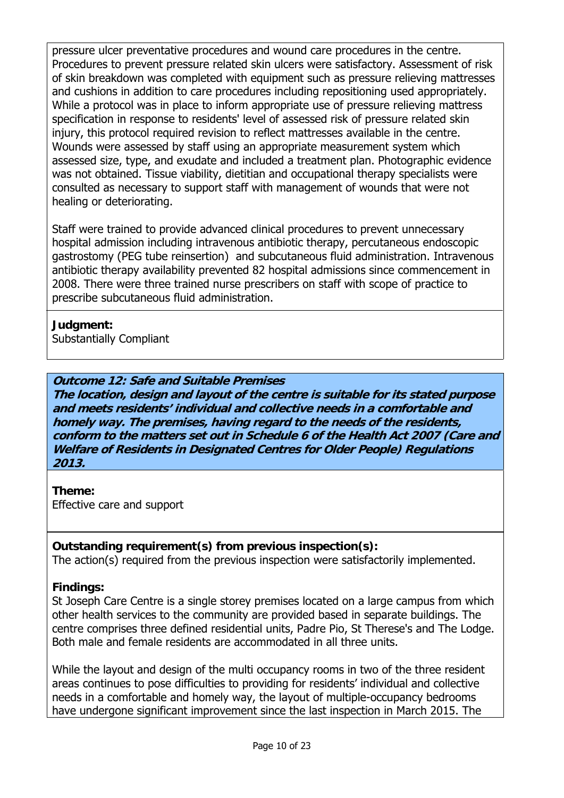pressure ulcer preventative procedures and wound care procedures in the centre. Procedures to prevent pressure related skin ulcers were satisfactory. Assessment of risk of skin breakdown was completed with equipment such as pressure relieving mattresses and cushions in addition to care procedures including repositioning used appropriately. While a protocol was in place to inform appropriate use of pressure relieving mattress specification in response to residents' level of assessed risk of pressure related skin injury, this protocol required revision to reflect mattresses available in the centre. Wounds were assessed by staff using an appropriate measurement system which assessed size, type, and exudate and included a treatment plan. Photographic evidence was not obtained. Tissue viability, dietitian and occupational therapy specialists were consulted as necessary to support staff with management of wounds that were not healing or deteriorating.

Staff were trained to provide advanced clinical procedures to prevent unnecessary hospital admission including intravenous antibiotic therapy, percutaneous endoscopic gastrostomy (PEG tube reinsertion) and subcutaneous fluid administration. Intravenous antibiotic therapy availability prevented 82 hospital admissions since commencement in 2008. There were three trained nurse prescribers on staff with scope of practice to prescribe subcutaneous fluid administration.

### **Judgment:**

Substantially Compliant

### **Outcome 12: Safe and Suitable Premises**

**The location, design and layout of the centre is suitable for its stated purpose and meets residents' individual and collective needs in a comfortable and homely way. The premises, having regard to the needs of the residents, conform to the matters set out in Schedule 6 of the Health Act 2007 (Care and Welfare of Residents in Designated Centres for Older People) Regulations 2013.**

**Theme:**  Effective care and support

### **Outstanding requirement(s) from previous inspection(s):**

The action(s) required from the previous inspection were satisfactorily implemented.

### **Findings:**

St Joseph Care Centre is a single storey premises located on a large campus from which other health services to the community are provided based in separate buildings. The centre comprises three defined residential units, Padre Pio, St Therese's and The Lodge. Both male and female residents are accommodated in all three units.

While the layout and design of the multi occupancy rooms in two of the three resident areas continues to pose difficulties to providing for residents' individual and collective needs in a comfortable and homely way, the layout of multiple-occupancy bedrooms have undergone significant improvement since the last inspection in March 2015. The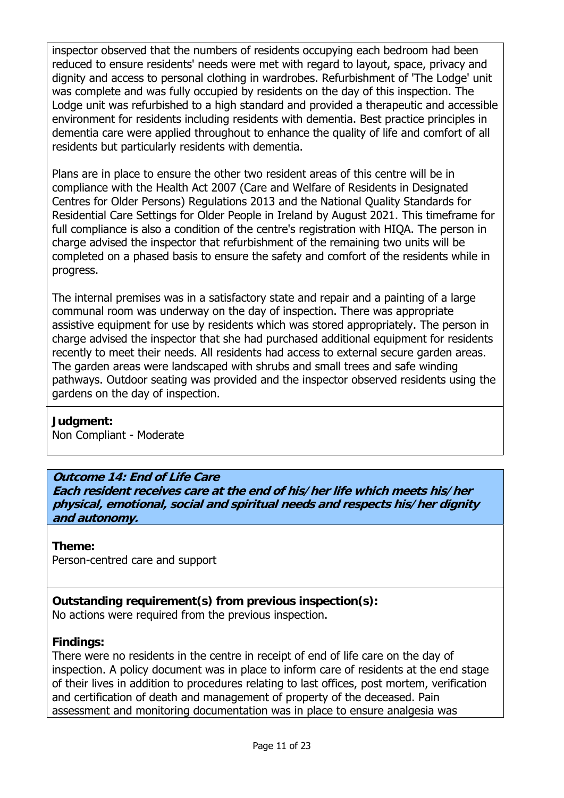inspector observed that the numbers of residents occupying each bedroom had been reduced to ensure residents' needs were met with regard to layout, space, privacy and dignity and access to personal clothing in wardrobes. Refurbishment of 'The Lodge' unit was complete and was fully occupied by residents on the day of this inspection. The Lodge unit was refurbished to a high standard and provided a therapeutic and accessible environment for residents including residents with dementia. Best practice principles in dementia care were applied throughout to enhance the quality of life and comfort of all residents but particularly residents with dementia.

Plans are in place to ensure the other two resident areas of this centre will be in compliance with the Health Act 2007 (Care and Welfare of Residents in Designated Centres for Older Persons) Regulations 2013 and the National Quality Standards for Residential Care Settings for Older People in Ireland by August 2021. This timeframe for full compliance is also a condition of the centre's registration with HIQA. The person in charge advised the inspector that refurbishment of the remaining two units will be completed on a phased basis to ensure the safety and comfort of the residents while in progress.

The internal premises was in a satisfactory state and repair and a painting of a large communal room was underway on the day of inspection. There was appropriate assistive equipment for use by residents which was stored appropriately. The person in charge advised the inspector that she had purchased additional equipment for residents recently to meet their needs. All residents had access to external secure garden areas. The garden areas were landscaped with shrubs and small trees and safe winding pathways. Outdoor seating was provided and the inspector observed residents using the gardens on the day of inspection.

### **Judgment:**

Non Compliant - Moderate

## **Outcome 14: End of Life Care**

**Each resident receives care at the end of his/her life which meets his/her physical, emotional, social and spiritual needs and respects his/her dignity and autonomy.**

### **Theme:**

Person-centred care and support

**Outstanding requirement(s) from previous inspection(s):** 

No actions were required from the previous inspection.

## **Findings:**

There were no residents in the centre in receipt of end of life care on the day of inspection. A policy document was in place to inform care of residents at the end stage of their lives in addition to procedures relating to last offices, post mortem, verification and certification of death and management of property of the deceased. Pain assessment and monitoring documentation was in place to ensure analgesia was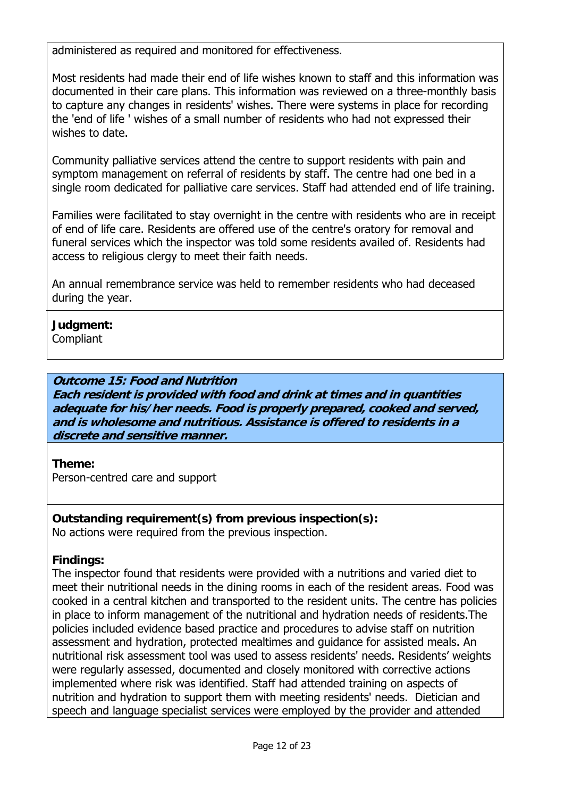administered as required and monitored for effectiveness.

Most residents had made their end of life wishes known to staff and this information was documented in their care plans. This information was reviewed on a three-monthly basis to capture any changes in residents' wishes. There were systems in place for recording the 'end of life ' wishes of a small number of residents who had not expressed their wishes to date.

Community palliative services attend the centre to support residents with pain and symptom management on referral of residents by staff. The centre had one bed in a single room dedicated for palliative care services. Staff had attended end of life training.

Families were facilitated to stay overnight in the centre with residents who are in receipt of end of life care. Residents are offered use of the centre's oratory for removal and funeral services which the inspector was told some residents availed of. Residents had access to religious clergy to meet their faith needs.

An annual remembrance service was held to remember residents who had deceased during the year.

## **Judgment:**

Compliant

## **Outcome 15: Food and Nutrition**

**Each resident is provided with food and drink at times and in quantities adequate for his/her needs. Food is properly prepared, cooked and served, and is wholesome and nutritious. Assistance is offered to residents in a discrete and sensitive manner.**

### **Theme:**

Person-centred care and support

### **Outstanding requirement(s) from previous inspection(s):**  No actions were required from the previous inspection.

### **Findings:**

The inspector found that residents were provided with a nutritions and varied diet to meet their nutritional needs in the dining rooms in each of the resident areas. Food was cooked in a central kitchen and transported to the resident units. The centre has policies in place to inform management of the nutritional and hydration needs of residents.The policies included evidence based practice and procedures to advise staff on nutrition assessment and hydration, protected mealtimes and guidance for assisted meals. An nutritional risk assessment tool was used to assess residents' needs. Residents' weights were regularly assessed, documented and closely monitored with corrective actions implemented where risk was identified. Staff had attended training on aspects of nutrition and hydration to support them with meeting residents' needs. Dietician and speech and language specialist services were employed by the provider and attended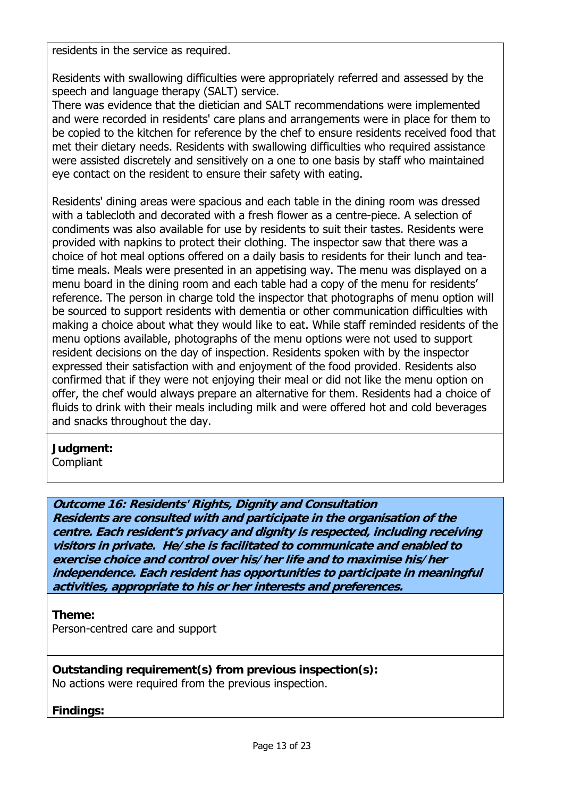residents in the service as required.

Residents with swallowing difficulties were appropriately referred and assessed by the speech and language therapy (SALT) service.

There was evidence that the dietician and SALT recommendations were implemented and were recorded in residents' care plans and arrangements were in place for them to be copied to the kitchen for reference by the chef to ensure residents received food that met their dietary needs. Residents with swallowing difficulties who required assistance were assisted discretely and sensitively on a one to one basis by staff who maintained eye contact on the resident to ensure their safety with eating.

Residents' dining areas were spacious and each table in the dining room was dressed with a tablecloth and decorated with a fresh flower as a centre-piece. A selection of condiments was also available for use by residents to suit their tastes. Residents were provided with napkins to protect their clothing. The inspector saw that there was a choice of hot meal options offered on a daily basis to residents for their lunch and teatime meals. Meals were presented in an appetising way. The menu was displayed on a menu board in the dining room and each table had a copy of the menu for residents' reference. The person in charge told the inspector that photographs of menu option will be sourced to support residents with dementia or other communication difficulties with making a choice about what they would like to eat. While staff reminded residents of the menu options available, photographs of the menu options were not used to support resident decisions on the day of inspection. Residents spoken with by the inspector expressed their satisfaction with and enjoyment of the food provided. Residents also confirmed that if they were not enjoying their meal or did not like the menu option on offer, the chef would always prepare an alternative for them. Residents had a choice of fluids to drink with their meals including milk and were offered hot and cold beverages and snacks throughout the day.

**Judgment: Compliant** 

**Outcome 16: Residents' Rights, Dignity and Consultation Residents are consulted with and participate in the organisation of the centre. Each resident's privacy and dignity is respected, including receiving visitors in private. He/she is facilitated to communicate and enabled to exercise choice and control over his/her life and to maximise his/her independence. Each resident has opportunities to participate in meaningful activities, appropriate to his or her interests and preferences.**

**Theme:** 

Person-centred care and support

**Outstanding requirement(s) from previous inspection(s):**  No actions were required from the previous inspection.

**Findings:**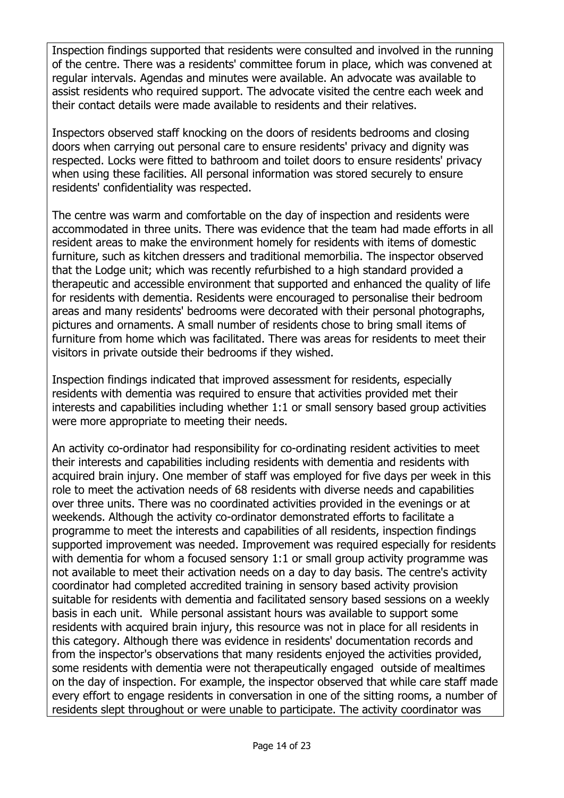Inspection findings supported that residents were consulted and involved in the running of the centre. There was a residents' committee forum in place, which was convened at regular intervals. Agendas and minutes were available. An advocate was available to assist residents who required support. The advocate visited the centre each week and their contact details were made available to residents and their relatives.

Inspectors observed staff knocking on the doors of residents bedrooms and closing doors when carrying out personal care to ensure residents' privacy and dignity was respected. Locks were fitted to bathroom and toilet doors to ensure residents' privacy when using these facilities. All personal information was stored securely to ensure residents' confidentiality was respected.

The centre was warm and comfortable on the day of inspection and residents were accommodated in three units. There was evidence that the team had made efforts in all resident areas to make the environment homely for residents with items of domestic furniture, such as kitchen dressers and traditional memorbilia. The inspector observed that the Lodge unit; which was recently refurbished to a high standard provided a therapeutic and accessible environment that supported and enhanced the quality of life for residents with dementia. Residents were encouraged to personalise their bedroom areas and many residents' bedrooms were decorated with their personal photographs, pictures and ornaments. A small number of residents chose to bring small items of furniture from home which was facilitated. There was areas for residents to meet their visitors in private outside their bedrooms if they wished.

Inspection findings indicated that improved assessment for residents, especially residents with dementia was required to ensure that activities provided met their interests and capabilities including whether 1:1 or small sensory based group activities were more appropriate to meeting their needs.

An activity co-ordinator had responsibility for co-ordinating resident activities to meet their interests and capabilities including residents with dementia and residents with acquired brain injury. One member of staff was employed for five days per week in this role to meet the activation needs of 68 residents with diverse needs and capabilities over three units. There was no coordinated activities provided in the evenings or at weekends. Although the activity co-ordinator demonstrated efforts to facilitate a programme to meet the interests and capabilities of all residents, inspection findings supported improvement was needed. Improvement was required especially for residents with dementia for whom a focused sensory 1:1 or small group activity programme was not available to meet their activation needs on a day to day basis. The centre's activity coordinator had completed accredited training in sensory based activity provision suitable for residents with dementia and facilitated sensory based sessions on a weekly basis in each unit. While personal assistant hours was available to support some residents with acquired brain injury, this resource was not in place for all residents in this category. Although there was evidence in residents' documentation records and from the inspector's observations that many residents enjoyed the activities provided, some residents with dementia were not therapeutically engaged outside of mealtimes on the day of inspection. For example, the inspector observed that while care staff made every effort to engage residents in conversation in one of the sitting rooms, a number of residents slept throughout or were unable to participate. The activity coordinator was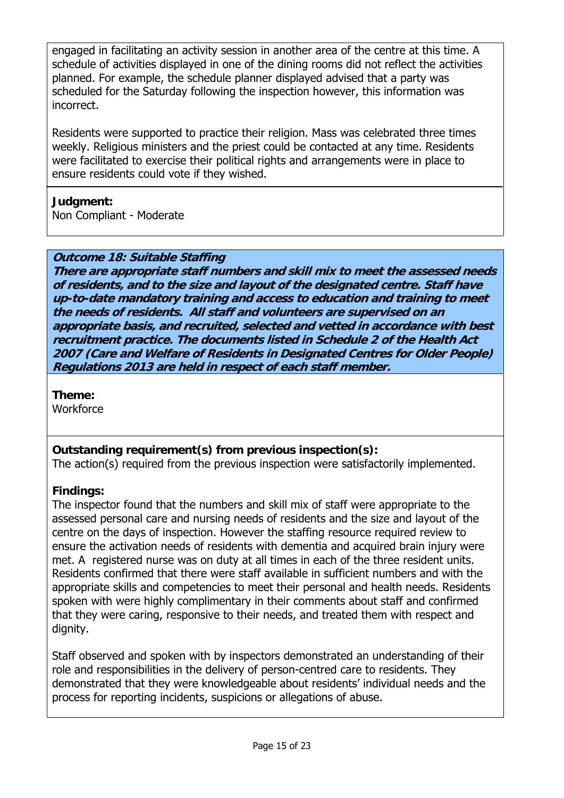engaged in facilitating an activity session in another area of the centre at this time. A schedule of activities displayed in one of the dining rooms did not reflect the activities planned. For example, the schedule planner displayed advised that a party was scheduled for the Saturday following the inspection however, this information was incorrect.

Residents were supported to practice their religion. Mass was celebrated three times weekly. Religious ministers and the priest could be contacted at any time. Residents were facilitated to exercise their political rights and arrangements were in place to ensure residents could vote if they wished.

## **Judgment:**

Non Compliant - Moderate

## **Outcome 18: Suitable Staffing**

**There are appropriate staff numbers and skill mix to meet the assessed needs of residents, and to the size and layout of the designated centre. Staff have up-to-date mandatory training and access to education and training to meet the needs of residents. All staff and volunteers are supervised on an appropriate basis, and recruited, selected and vetted in accordance with best recruitment practice. The documents listed in Schedule 2 of the Health Act 2007 (Care and Welfare of Residents in Designated Centres for Older People) Regulations 2013 are held in respect of each staff member.**

**Theme: Workforce** 

## **Outstanding requirement(s) from previous inspection(s):**

The action(s) required from the previous inspection were satisfactorily implemented.

## **Findings:**

The inspector found that the numbers and skill mix of staff were appropriate to the assessed personal care and nursing needs of residents and the size and layout of the centre on the days of inspection. However the staffing resource required review to ensure the activation needs of residents with dementia and acquired brain injury were met. A registered nurse was on duty at all times in each of the three resident units. Residents confirmed that there were staff available in sufficient numbers and with the appropriate skills and competencies to meet their personal and health needs. Residents spoken with were highly complimentary in their comments about staff and confirmed that they were caring, responsive to their needs, and treated them with respect and dignity.

Staff observed and spoken with by inspectors demonstrated an understanding of their role and responsibilities in the delivery of person-centred care to residents. They demonstrated that they were knowledgeable about residents' individual needs and the process for reporting incidents, suspicions or allegations of abuse.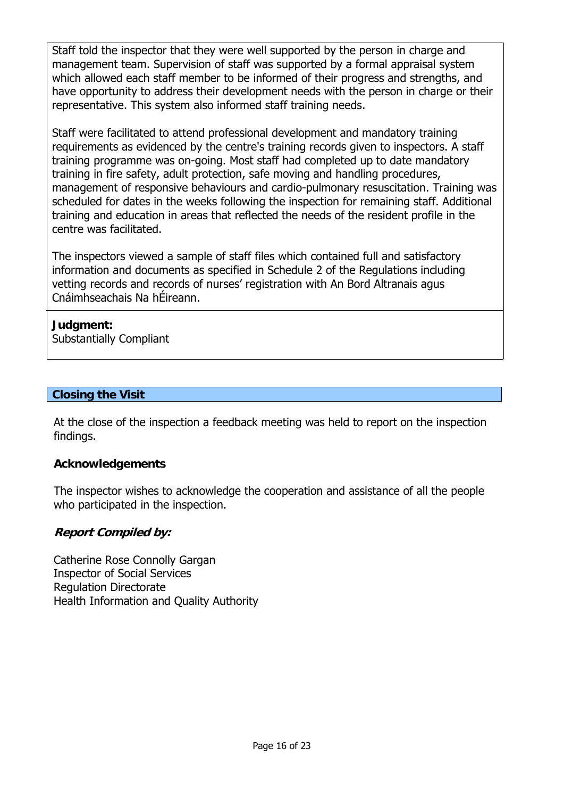Staff told the inspector that they were well supported by the person in charge and management team. Supervision of staff was supported by a formal appraisal system which allowed each staff member to be informed of their progress and strengths, and have opportunity to address their development needs with the person in charge or their representative. This system also informed staff training needs.

Staff were facilitated to attend professional development and mandatory training requirements as evidenced by the centre's training records given to inspectors. A staff training programme was on-going. Most staff had completed up to date mandatory training in fire safety, adult protection, safe moving and handling procedures, management of responsive behaviours and cardio-pulmonary resuscitation. Training was scheduled for dates in the weeks following the inspection for remaining staff. Additional training and education in areas that reflected the needs of the resident profile in the centre was facilitated.

The inspectors viewed a sample of staff files which contained full and satisfactory information and documents as specified in Schedule 2 of the Regulations including vetting records and records of nurses' registration with An Bord Altranais agus Cnáimhseachais Na hÉireann.

## **Judgment:**

Substantially Compliant

## **Closing the Visit**

At the close of the inspection a feedback meeting was held to report on the inspection findings.

### **Acknowledgements**

The inspector wishes to acknowledge the cooperation and assistance of all the people who participated in the inspection.

### **Report Compiled by:**

Catherine Rose Connolly Gargan Inspector of Social Services Regulation Directorate Health Information and Quality Authority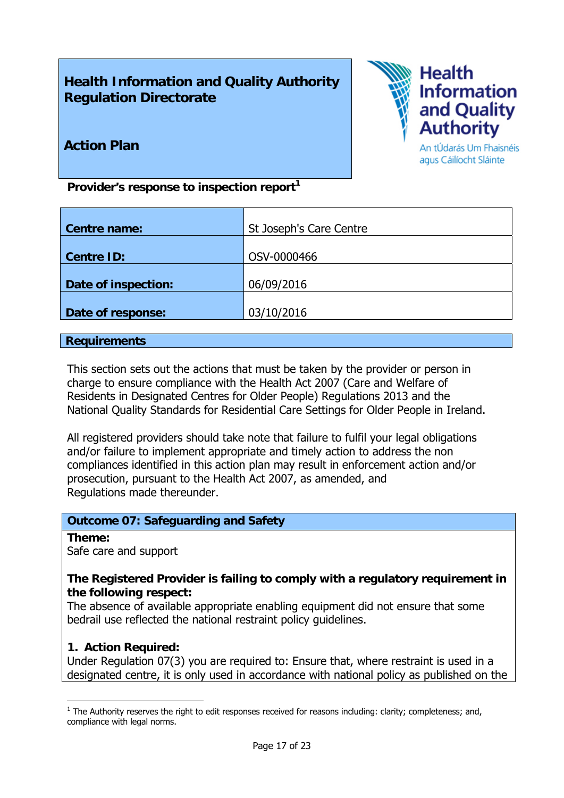## **Health Information and Quality Authority Regulation Directorate**



## **Action Plan**

An tÚdarás Um Fhaisnéis agus Cáilíocht Sláinte

Provider's response to inspection report<sup>1</sup>

| St Joseph's Care Centre |
|-------------------------|
|                         |
|                         |
| OSV-0000466             |
|                         |
| 06/09/2016              |
|                         |
| 03/10/2016              |
|                         |

### **Requirements**

This section sets out the actions that must be taken by the provider or person in charge to ensure compliance with the Health Act 2007 (Care and Welfare of Residents in Designated Centres for Older People) Regulations 2013 and the National Quality Standards for Residential Care Settings for Older People in Ireland.

All registered providers should take note that failure to fulfil your legal obligations and/or failure to implement appropriate and timely action to address the non compliances identified in this action plan may result in enforcement action and/or prosecution, pursuant to the Health Act 2007, as amended, and Regulations made thereunder.

### **Outcome 07: Safeguarding and Safety**

### **Theme:**

1

Safe care and support

### **The Registered Provider is failing to comply with a regulatory requirement in the following respect:**

The absence of available appropriate enabling equipment did not ensure that some bedrail use reflected the national restraint policy guidelines.

### **1. Action Required:**

Under Regulation 07(3) you are required to: Ensure that, where restraint is used in a designated centre, it is only used in accordance with national policy as published on the

 $<sup>1</sup>$  The Authority reserves the right to edit responses received for reasons including: clarity; completeness; and,</sup> compliance with legal norms.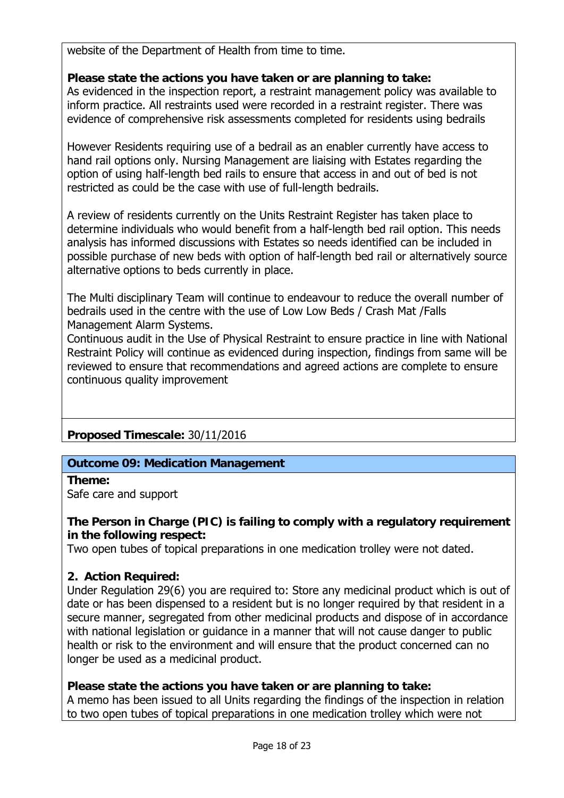website of the Department of Health from time to time.

## **Please state the actions you have taken or are planning to take:**

As evidenced in the inspection report, a restraint management policy was available to inform practice. All restraints used were recorded in a restraint register. There was evidence of comprehensive risk assessments completed for residents using bedrails

However Residents requiring use of a bedrail as an enabler currently have access to hand rail options only. Nursing Management are liaising with Estates regarding the option of using half-length bed rails to ensure that access in and out of bed is not restricted as could be the case with use of full-length bedrails.

A review of residents currently on the Units Restraint Register has taken place to determine individuals who would benefit from a half-length bed rail option. This needs analysis has informed discussions with Estates so needs identified can be included in possible purchase of new beds with option of half-length bed rail or alternatively source alternative options to beds currently in place.

The Multi disciplinary Team will continue to endeavour to reduce the overall number of bedrails used in the centre with the use of Low Low Beds / Crash Mat /Falls Management Alarm Systems.

Continuous audit in the Use of Physical Restraint to ensure practice in line with National Restraint Policy will continue as evidenced during inspection, findings from same will be reviewed to ensure that recommendations and agreed actions are complete to ensure continuous quality improvement

## **Proposed Timescale:** 30/11/2016

## **Outcome 09: Medication Management**

**Theme:**  Safe care and support

## **The Person in Charge (PIC) is failing to comply with a regulatory requirement in the following respect:**

Two open tubes of topical preparations in one medication trolley were not dated.

### **2. Action Required:**

Under Regulation 29(6) you are required to: Store any medicinal product which is out of date or has been dispensed to a resident but is no longer required by that resident in a secure manner, segregated from other medicinal products and dispose of in accordance with national legislation or guidance in a manner that will not cause danger to public health or risk to the environment and will ensure that the product concerned can no longer be used as a medicinal product.

### **Please state the actions you have taken or are planning to take:**

A memo has been issued to all Units regarding the findings of the inspection in relation to two open tubes of topical preparations in one medication trolley which were not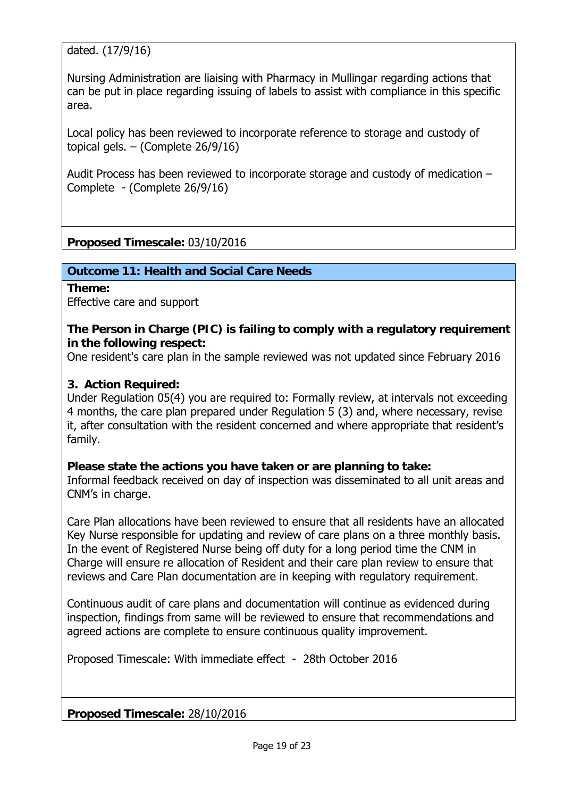dated. (17/9/16)

Nursing Administration are liaising with Pharmacy in Mullingar regarding actions that can be put in place regarding issuing of labels to assist with compliance in this specific area.

Local policy has been reviewed to incorporate reference to storage and custody of topical gels. – (Complete 26/9/16)

Audit Process has been reviewed to incorporate storage and custody of medication – Complete - (Complete 26/9/16)

**Proposed Timescale:** 03/10/2016

**Outcome 11: Health and Social Care Needs** 

**Theme:**  Effective care and support

### **The Person in Charge (PIC) is failing to comply with a regulatory requirement in the following respect:**

One resident's care plan in the sample reviewed was not updated since February 2016

### **3. Action Required:**

Under Regulation 05(4) you are required to: Formally review, at intervals not exceeding 4 months, the care plan prepared under Regulation 5 (3) and, where necessary, revise it, after consultation with the resident concerned and where appropriate that resident's family.

### **Please state the actions you have taken or are planning to take:**

Informal feedback received on day of inspection was disseminated to all unit areas and CNM's in charge.

Care Plan allocations have been reviewed to ensure that all residents have an allocated Key Nurse responsible for updating and review of care plans on a three monthly basis. In the event of Registered Nurse being off duty for a long period time the CNM in Charge will ensure re allocation of Resident and their care plan review to ensure that reviews and Care Plan documentation are in keeping with regulatory requirement.

Continuous audit of care plans and documentation will continue as evidenced during inspection, findings from same will be reviewed to ensure that recommendations and agreed actions are complete to ensure continuous quality improvement.

Proposed Timescale: With immediate effect - 28th October 2016

**Proposed Timescale:** 28/10/2016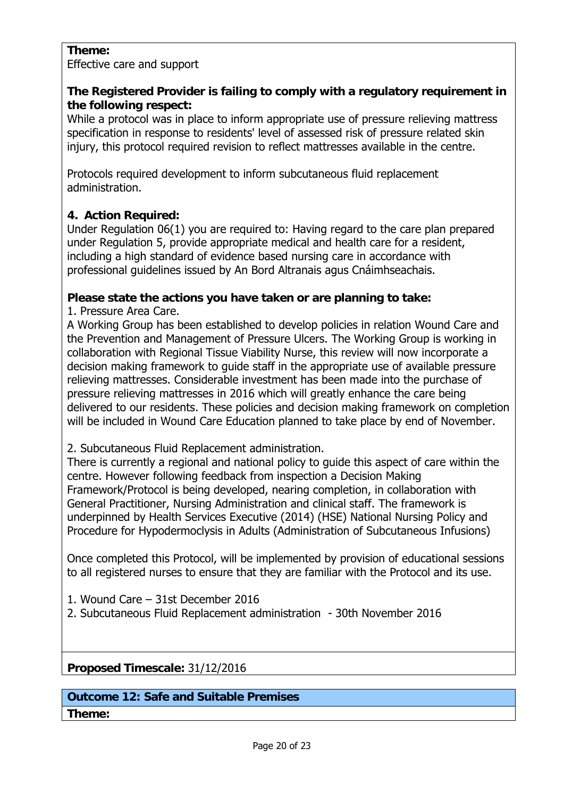### **Theme:**

Effective care and support

## **The Registered Provider is failing to comply with a regulatory requirement in the following respect:**

While a protocol was in place to inform appropriate use of pressure relieving mattress specification in response to residents' level of assessed risk of pressure related skin injury, this protocol required revision to reflect mattresses available in the centre.

Protocols required development to inform subcutaneous fluid replacement administration.

## **4. Action Required:**

Under Regulation 06(1) you are required to: Having regard to the care plan prepared under Regulation 5, provide appropriate medical and health care for a resident, including a high standard of evidence based nursing care in accordance with professional guidelines issued by An Bord Altranais agus Cnáimhseachais.

## **Please state the actions you have taken or are planning to take:**

1. Pressure Area Care.

A Working Group has been established to develop policies in relation Wound Care and the Prevention and Management of Pressure Ulcers. The Working Group is working in collaboration with Regional Tissue Viability Nurse, this review will now incorporate a decision making framework to guide staff in the appropriate use of available pressure relieving mattresses. Considerable investment has been made into the purchase of pressure relieving mattresses in 2016 which will greatly enhance the care being delivered to our residents. These policies and decision making framework on completion will be included in Wound Care Education planned to take place by end of November.

2. Subcutaneous Fluid Replacement administration.

There is currently a regional and national policy to guide this aspect of care within the centre. However following feedback from inspection a Decision Making Framework/Protocol is being developed, nearing completion, in collaboration with General Practitioner, Nursing Administration and clinical staff. The framework is underpinned by Health Services Executive (2014) (HSE) National Nursing Policy and Procedure for Hypodermoclysis in Adults (Administration of Subcutaneous Infusions)

Once completed this Protocol, will be implemented by provision of educational sessions to all registered nurses to ensure that they are familiar with the Protocol and its use.

- 1. Wound Care 31st December 2016
- 2. Subcutaneous Fluid Replacement administration 30th November 2016

**Proposed Timescale:** 31/12/2016

## **Outcome 12: Safe and Suitable Premises**

**Theme:**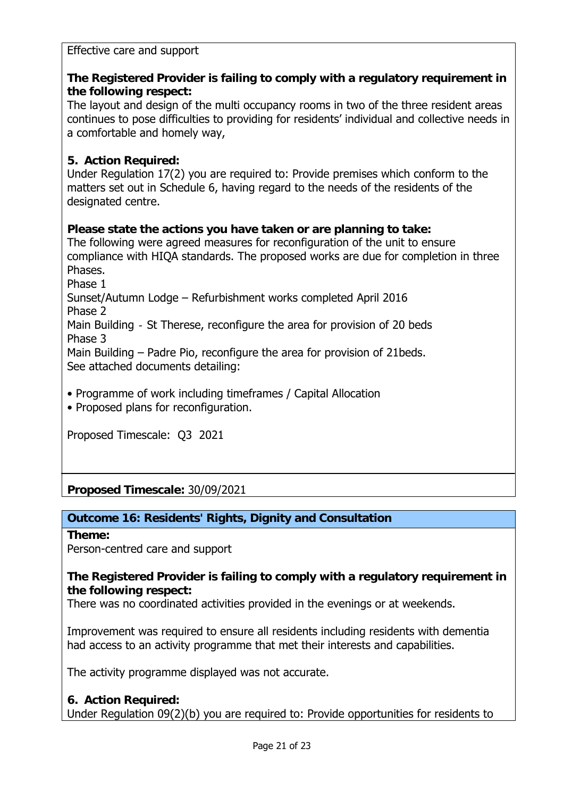### Effective care and support

## **The Registered Provider is failing to comply with a regulatory requirement in the following respect:**

The layout and design of the multi occupancy rooms in two of the three resident areas continues to pose difficulties to providing for residents' individual and collective needs in a comfortable and homely way,

### **5. Action Required:**

Under Regulation 17(2) you are required to: Provide premises which conform to the matters set out in Schedule 6, having regard to the needs of the residents of the designated centre.

### **Please state the actions you have taken or are planning to take:**

The following were agreed measures for reconfiguration of the unit to ensure compliance with HIQA standards. The proposed works are due for completion in three Phases.

Phase 1

Sunset/Autumn Lodge – Refurbishment works completed April 2016 Phase 2

Main Building - St Therese, reconfigure the area for provision of 20 beds Phase 3

Main Building – Padre Pio, reconfigure the area for provision of 21beds. See attached documents detailing:

• Programme of work including timeframes / Capital Allocation

• Proposed plans for reconfiguration.

Proposed Timescale: Q3 2021

**Proposed Timescale:** 30/09/2021

### **Outcome 16: Residents' Rights, Dignity and Consultation**

**Theme:** 

Person-centred care and support

### **The Registered Provider is failing to comply with a regulatory requirement in the following respect:**

There was no coordinated activities provided in the evenings or at weekends.

Improvement was required to ensure all residents including residents with dementia had access to an activity programme that met their interests and capabilities.

The activity programme displayed was not accurate.

### **6. Action Required:**

Under Regulation 09(2)(b) you are required to: Provide opportunities for residents to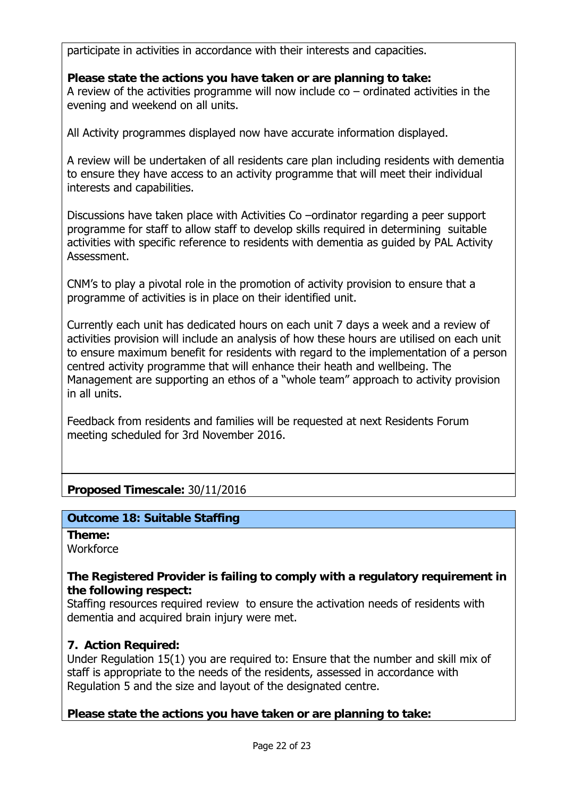participate in activities in accordance with their interests and capacities.

## **Please state the actions you have taken or are planning to take:**

A review of the activities programme will now include  $\cos$  – ordinated activities in the evening and weekend on all units.

All Activity programmes displayed now have accurate information displayed.

A review will be undertaken of all residents care plan including residents with dementia to ensure they have access to an activity programme that will meet their individual interests and capabilities.

Discussions have taken place with Activities Co –ordinator regarding a peer support programme for staff to allow staff to develop skills required in determining suitable activities with specific reference to residents with dementia as guided by PAL Activity Assessment.

CNM's to play a pivotal role in the promotion of activity provision to ensure that a programme of activities is in place on their identified unit.

Currently each unit has dedicated hours on each unit 7 days a week and a review of activities provision will include an analysis of how these hours are utilised on each unit to ensure maximum benefit for residents with regard to the implementation of a person centred activity programme that will enhance their heath and wellbeing. The Management are supporting an ethos of a "whole team" approach to activity provision in all units.

Feedback from residents and families will be requested at next Residents Forum meeting scheduled for 3rd November 2016.

## **Proposed Timescale:** 30/11/2016

## **Outcome 18: Suitable Staffing**

**Theme: Workforce** 

### **The Registered Provider is failing to comply with a regulatory requirement in the following respect:**

Staffing resources required review to ensure the activation needs of residents with dementia and acquired brain injury were met.

## **7. Action Required:**

Under Regulation 15(1) you are required to: Ensure that the number and skill mix of staff is appropriate to the needs of the residents, assessed in accordance with Regulation 5 and the size and layout of the designated centre.

## **Please state the actions you have taken or are planning to take:**